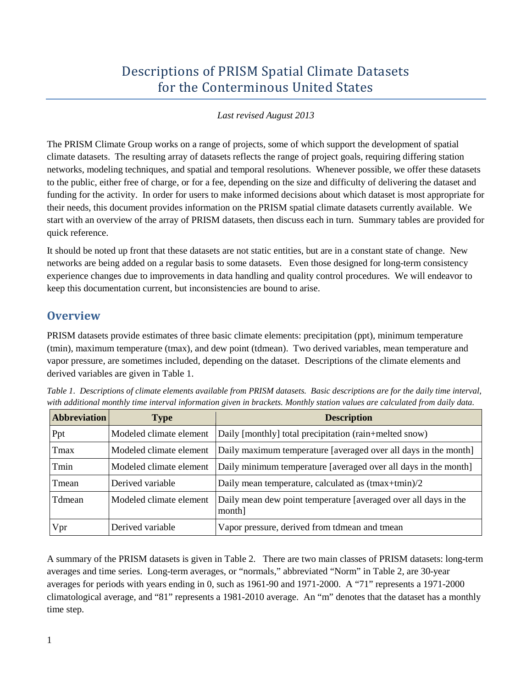# Descriptions of PRISM Spatial Climate Datasets for the Conterminous United States

#### *Last revised August 2013*

The PRISM Climate Group works on a range of projects, some of which support the development of spatial climate datasets. The resulting array of datasets reflects the range of project goals, requiring differing station networks, modeling techniques, and spatial and temporal resolutions. Whenever possible, we offer these datasets to the public, either free of charge, or for a fee, depending on the size and difficulty of delivering the dataset and funding for the activity. In order for users to make informed decisions about which dataset is most appropriate for their needs, this document provides information on the PRISM spatial climate datasets currently available. We start with an overview of the array of PRISM datasets, then discuss each in turn. Summary tables are provided for quick reference.

It should be noted up front that these datasets are not static entities, but are in a constant state of change. New networks are being added on a regular basis to some datasets. Even those designed for long-term consistency experience changes due to improvements in data handling and quality control procedures. We will endeavor to keep this documentation current, but inconsistencies are bound to arise.

### **Overview**

PRISM datasets provide estimates of three basic climate elements: precipitation (ppt), minimum temperature (tmin), maximum temperature (tmax), and dew point (tdmean). Two derived variables, mean temperature and vapor pressure, are sometimes included, depending on the dataset. Descriptions of the climate elements and derived variables are given in Table 1.

| <b>Abbreviation</b> | <b>Type</b>             | <b>Description</b>                                                        |
|---------------------|-------------------------|---------------------------------------------------------------------------|
| Ppt                 | Modeled climate element | Daily [monthly] total precipitation (rain+melted snow)                    |
| Tmax                | Modeled climate element | Daily maximum temperature [averaged over all days in the month]           |
| Tmin                | Modeled climate element | Daily minimum temperature [averaged over all days in the month]           |
| Tmean               | Derived variable        | Daily mean temperature, calculated as $(tmax+tnin)/2$                     |
| Tdmean              | Modeled climate element | Daily mean dew point temperature [averaged over all days in the<br>month] |
| Vpr                 | Derived variable        | Vapor pressure, derived from tdmean and tmean                             |

*Table 1. Descriptions of climate elements available from PRISM datasets. Basic descriptions are for the daily time interval, with additional monthly time interval information given in brackets. Monthly station values are calculated from daily data.*

A summary of the PRISM datasets is given in Table 2. There are two main classes of PRISM datasets: long-term averages and time series. Long-term averages, or "normals," abbreviated "Norm" in Table 2, are 30-year averages for periods with years ending in 0, such as 1961-90 and 1971-2000. A "71" represents a 1971-2000 climatological average, and "81" represents a 1981-2010 average. An "m" denotes that the dataset has a monthly time step.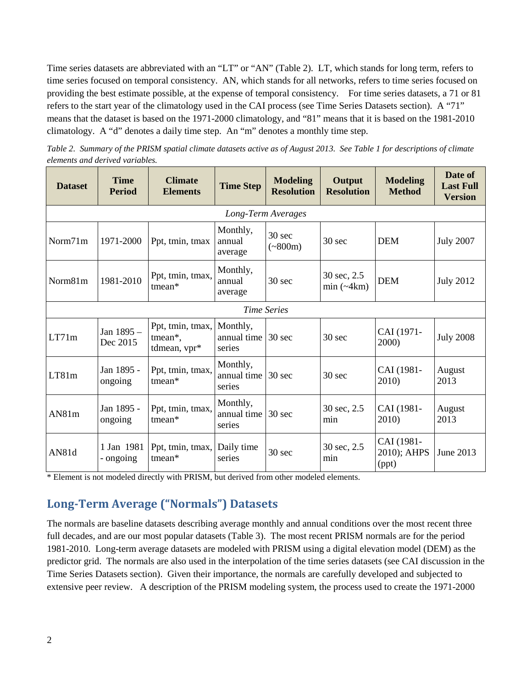Time series datasets are abbreviated with an "LT" or "AN" (Table 2). LT, which stands for long term, refers to time series focused on temporal consistency. AN, which stands for all networks, refers to time series focused on providing the best estimate possible, at the expense of temporal consistency. For time series datasets, a 71 or 81 refers to the start year of the climatology used in the CAI process (see Time Series Datasets section). A "71" means that the dataset is based on the 1971-2000 climatology, and "81" means that it is based on the 1981-2010 climatology. A "d" denotes a daily time step. An "m" denotes a monthly time step.

*Table 2. Summary of the PRISM spatial climate datasets active as of August 2013. See Table 1 for descriptions of climate elements and derived variables.* 

| <b>Dataset</b>     | <b>Time</b><br><b>Period</b> | <b>Climate</b><br><b>Elements</b>                    | <b>Time Step</b>                                                                                                                                                  | <b>Modeling</b><br><b>Resolution</b> | Output<br><b>Resolution</b> | <b>Modeling</b><br><b>Method</b>   | Date of<br><b>Last Full</b><br><b>Version</b> |  |  |  |  |
|--------------------|------------------------------|------------------------------------------------------|-------------------------------------------------------------------------------------------------------------------------------------------------------------------|--------------------------------------|-----------------------------|------------------------------------|-----------------------------------------------|--|--|--|--|
| Long-Term Averages |                              |                                                      |                                                                                                                                                                   |                                      |                             |                                    |                                               |  |  |  |  |
| Norm71m            | 1971-2000                    | Ppt, tmin, tmax                                      | Monthly,<br>$30$ sec<br><b>DEM</b><br>$30$ sec<br>annual<br>$(*800m)$<br>average<br>Monthly,<br>30 sec, 2.5<br><b>DEM</b><br>30 sec<br>annual<br>$min$ (~4 $km$ ) |                                      | <b>July 2007</b>            |                                    |                                               |  |  |  |  |
| Norm81m            | 1981-2010                    | Ppt, tmin, tmax,<br>tmean*                           | average                                                                                                                                                           |                                      |                             |                                    | <b>July 2012</b>                              |  |  |  |  |
|                    |                              |                                                      |                                                                                                                                                                   | <b>Time Series</b>                   |                             |                                    |                                               |  |  |  |  |
| LT71m              | Jan 1895 -<br>Dec 2015       | Ppt, tmin, tmax, Monthly,<br>tmean*,<br>tdmean, vpr* | annual time<br>series                                                                                                                                             | 30 sec                               | $30$ sec                    | CAI (1971-<br>2000)                | <b>July 2008</b>                              |  |  |  |  |
| LT81m              | Jan 1895 -<br>ongoing        | Ppt, tmin, tmax,<br>$t$ mean*                        | Monthly,<br>annual time<br>series                                                                                                                                 | $30 \text{ sec}$                     | $30 \text{ sec}$            | CAI (1981-<br>2010)                | August<br>2013                                |  |  |  |  |
| AN81m              | Jan 1895 -<br>ongoing        | Ppt, tmin, tmax,<br>$t$ mean*                        | Monthly,<br>annual time<br>series                                                                                                                                 | $30 \text{ sec}$                     | 30 sec, 2.5<br>min          | CAI (1981-<br>2010)                | August<br>2013                                |  |  |  |  |
| AN81d              | 1 Jan 1981<br>- ongoing      | Ppt, tmin, tmax, Daily time<br>tmean*                | series                                                                                                                                                            | 30 <sub>sec</sub>                    | 30 sec, 2.5<br>min          | CAI (1981-<br>2010); AHPS<br>(ppt) | June 2013                                     |  |  |  |  |

\* Element is not modeled directly with PRISM, but derived from other modeled elements.

## **Long-Term Average ("Normals") Datasets**

The normals are baseline datasets describing average monthly and annual conditions over the most recent three full decades, and are our most popular datasets (Table 3). The most recent PRISM normals are for the period 1981-2010. Long-term average datasets are modeled with PRISM using a digital elevation model (DEM) as the predictor grid. The normals are also used in the interpolation of the time series datasets (see CAI discussion in the Time Series Datasets section). Given their importance, the normals are carefully developed and subjected to extensive peer review. A description of the PRISM modeling system, the process used to create the 1971-2000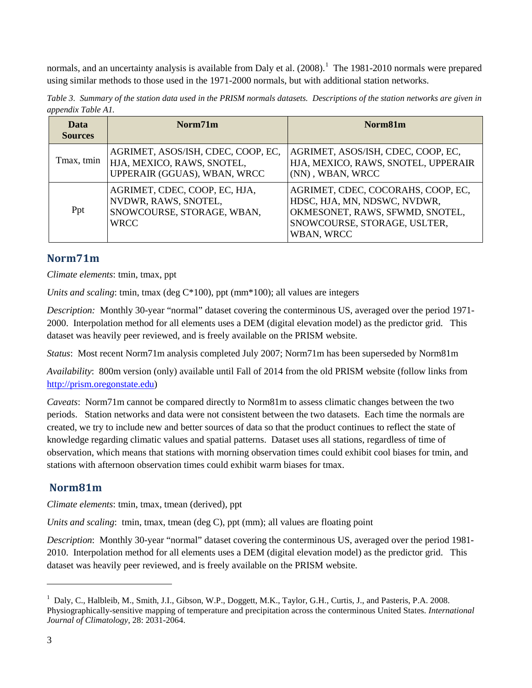normals, and an uncertainty analysis is available from Daly et al. (2008).<sup>[1](#page-2-0)</sup> The 1981-2010 normals were prepared using similar methods to those used in the 1971-2000 normals, but with additional station networks.

*Table 3. Summary of the station data used in the PRISM normals datasets. Descriptions of the station networks are given in appendix Table A1.*

| Data<br><b>Sources</b> | Norm71m                                                                                            | Norm81m                                                                                                                                             |  |  |  |  |
|------------------------|----------------------------------------------------------------------------------------------------|-----------------------------------------------------------------------------------------------------------------------------------------------------|--|--|--|--|
| Tmax, tmin             | AGRIMET, ASOS/ISH, CDEC, COOP, EC,<br>HJA, MEXICO, RAWS, SNOTEL,<br>UPPERAIR (GGUAS), WBAN, WRCC   | AGRIMET, ASOS/ISH, CDEC, COOP, EC,<br>HJA, MEXICO, RAWS, SNOTEL, UPPERAIR<br>(NN), WBAN, WRCC                                                       |  |  |  |  |
| Ppt                    | AGRIMET, CDEC, COOP, EC, HJA,<br>NVDWR, RAWS, SNOTEL,<br>SNOWCOURSE, STORAGE, WBAN,<br><b>WRCC</b> | AGRIMET, CDEC, COCORAHS, COOP, EC,<br>HDSC, HJA, MN, NDSWC, NVDWR,<br>OKMESONET, RAWS, SFWMD, SNOTEL,<br>SNOWCOURSE, STORAGE, USLTER,<br>WBAN, WRCC |  |  |  |  |

#### **Norm71m**

*Climate elements*: tmin, tmax, ppt

*Units and scaling*: tmin, tmax (deg C\*100), ppt (mm\*100); all values are integers

*Description:* Monthly 30-year "normal" dataset covering the conterminous US, averaged over the period 1971- 2000. Interpolation method for all elements uses a DEM (digital elevation model) as the predictor grid. This dataset was heavily peer reviewed, and is freely available on the PRISM website.

*Status*: Most recent Norm71m analysis completed July 2007; Norm71m has been superseded by Norm81m

*Availability*: 800m version (only) available until Fall of 2014 from the old PRISM website (follow links from [http://prism.oregonstate.edu\)](http://prism.oregonstate.edu/)

*Caveats*: Norm71m cannot be compared directly to Norm81m to assess climatic changes between the two periods. Station networks and data were not consistent between the two datasets. Each time the normals are created, we try to include new and better sources of data so that the product continues to reflect the state of knowledge regarding climatic values and spatial patterns. Dataset uses all stations, regardless of time of observation, which means that stations with morning observation times could exhibit cool biases for tmin, and stations with afternoon observation times could exhibit warm biases for tmax.

### **Norm81m**

*Climate elements*: tmin, tmax, tmean (derived), ppt

*Units and scaling*: tmin, tmax, tmean (deg C), ppt (mm); all values are floating point

*Description*: Monthly 30-year "normal" dataset covering the conterminous US, averaged over the period 1981- 2010. Interpolation method for all elements uses a DEM (digital elevation model) as the predictor grid. This dataset was heavily peer reviewed, and is freely available on the PRISM website.

 $\overline{a}$ 

<span id="page-2-0"></span><sup>&</sup>lt;sup>1</sup> Daly, C., Halbleib, M., Smith, J.I., Gibson, W.P., Doggett, M.K., Taylor, G.H., Curtis, J., and Pasteris, P.A. 2008. Physiographically-sensitive mapping of temperature and precipitation across the conterminous United States. *International Journal of Climatology*, 28: 2031-2064.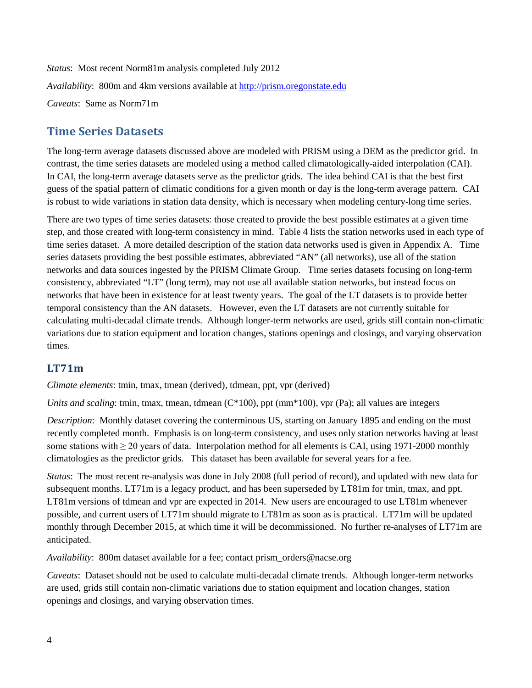*Status*: Most recent Norm81m analysis completed July 2012 *Availability*: 800m and 4km versions available at [http://prism.oregonstate.edu](http://prism.oregonstate.edu/)  *Caveats*: Same as Norm71m

### **Time Series Datasets**

The long-term average datasets discussed above are modeled with PRISM using a DEM as the predictor grid. In contrast, the time series datasets are modeled using a method called climatologically-aided interpolation (CAI). In CAI, the long-term average datasets serve as the predictor grids. The idea behind CAI is that the best first guess of the spatial pattern of climatic conditions for a given month or day is the long-term average pattern. CAI is robust to wide variations in station data density, which is necessary when modeling century-long time series.

There are two types of time series datasets: those created to provide the best possible estimates at a given time step, and those created with long-term consistency in mind. Table 4 lists the station networks used in each type of time series dataset. A more detailed description of the station data networks used is given in Appendix A. Time series datasets providing the best possible estimates, abbreviated "AN" (all networks), use all of the station networks and data sources ingested by the PRISM Climate Group. Time series datasets focusing on long-term consistency, abbreviated "LT" (long term), may not use all available station networks, but instead focus on networks that have been in existence for at least twenty years. The goal of the LT datasets is to provide better temporal consistency than the AN datasets. However, even the LT datasets are not currently suitable for calculating multi-decadal climate trends. Although longer-term networks are used, grids still contain non-climatic variations due to station equipment and location changes, stations openings and closings, and varying observation times.

#### **LT71m**

*Climate elements*: tmin, tmax, tmean (derived), tdmean, ppt, vpr (derived)

*Units and scaling*: tmin, tmax, tmean, tdmean (C\*100), ppt (mm<sup>\*</sup>100), vpr (Pa); all values are integers

*Description*: Monthly dataset covering the conterminous US, starting on January 1895 and ending on the most recently completed month. Emphasis is on long-term consistency, and uses only station networks having at least some stations with > 20 years of data. Interpolation method for all elements is CAI, using 1971-2000 monthly climatologies as the predictor grids. This dataset has been available for several years for a fee.

*Status*: The most recent re-analysis was done in July 2008 (full period of record), and updated with new data for subsequent months. LT71m is a legacy product, and has been superseded by LT81m for tmin, tmax, and ppt. LT81m versions of tdmean and vpr are expected in 2014. New users are encouraged to use LT81m whenever possible, and current users of LT71m should migrate to LT81m as soon as is practical. LT71m will be updated monthly through December 2015, at which time it will be decommissioned. No further re-analyses of LT71m are anticipated.

*Availability*: 800m dataset available for a fee; contact prism\_orders@nacse.org

*Caveats*: Dataset should not be used to calculate multi-decadal climate trends. Although longer-term networks are used, grids still contain non-climatic variations due to station equipment and location changes, station openings and closings, and varying observation times.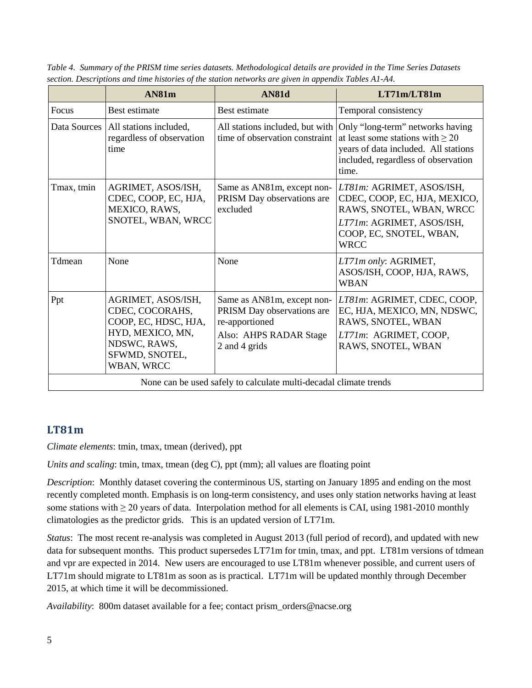|              | AN81m                                                                                                                             | AN81d                                                                                                                 | LT71m/LT81m                                                                                                                                                       |
|--------------|-----------------------------------------------------------------------------------------------------------------------------------|-----------------------------------------------------------------------------------------------------------------------|-------------------------------------------------------------------------------------------------------------------------------------------------------------------|
| Focus        | Best estimate                                                                                                                     | Best estimate                                                                                                         | Temporal consistency                                                                                                                                              |
| Data Sources | All stations included,<br>regardless of observation<br>time                                                                       | All stations included, but with<br>time of observation constraint                                                     | Only "long-term" networks having<br>at least some stations with $\geq 20$<br>years of data included. All stations<br>included, regardless of observation<br>time. |
| Tmax, tmin   | AGRIMET, ASOS/ISH,<br>CDEC, COOP, EC, HJA,<br>MEXICO, RAWS,<br>SNOTEL, WBAN, WRCC                                                 | Same as AN81m, except non-<br>PRISM Day observations are<br>excluded                                                  | LT81m: AGRIMET, ASOS/ISH,<br>CDEC, COOP, EC, HJA, MEXICO,<br>RAWS, SNOTEL, WBAN, WRCC<br>LT71m: AGRIMET, ASOS/ISH,<br>COOP, EC, SNOTEL, WBAN,<br><b>WRCC</b>      |
| Tdmean       | None                                                                                                                              | None                                                                                                                  | LT71m only: AGRIMET,<br>ASOS/ISH, COOP, HJA, RAWS,<br><b>WBAN</b>                                                                                                 |
| Ppt          | AGRIMET, ASOS/ISH,<br>CDEC, COCORAHS,<br>COOP, EC, HDSC, HJA,<br>HYD, MEXICO, MN,<br>NDSWC, RAWS,<br>SFWMD, SNOTEL,<br>WBAN, WRCC | Same as AN81m, except non-<br>PRISM Day observations are<br>re-apportioned<br>Also: AHPS RADAR Stage<br>2 and 4 grids | LT81m: AGRIMET, CDEC, COOP,<br>EC, HJA, MEXICO, MN, NDSWC,<br>RAWS, SNOTEL, WBAN<br>LT71m: AGRIMET, COOP,<br>RAWS, SNOTEL, WBAN                                   |
|              |                                                                                                                                   | None can be used safely to calculate multi-decadal climate trends                                                     |                                                                                                                                                                   |

*Table 4. Summary of the PRISM time series datasets. Methodological details are provided in the Time Series Datasets section. Descriptions and time histories of the station networks are given in appendix Tables A1-A4.*

#### **LT81m**

*Climate elements*: tmin, tmax, tmean (derived), ppt

*Units and scaling*: tmin, tmax, tmean (deg C), ppt (mm); all values are floating point

*Description*: Monthly dataset covering the conterminous US, starting on January 1895 and ending on the most recently completed month. Emphasis is on long-term consistency, and uses only station networks having at least some stations with  $\geq$  20 years of data. Interpolation method for all elements is CAI, using 1981-2010 monthly climatologies as the predictor grids. This is an updated version of LT71m.

*Status*: The most recent re-analysis was completed in August 2013 (full period of record), and updated with new data for subsequent months. This product supersedes LT71m for tmin, tmax, and ppt. LT81m versions of tdmean and vpr are expected in 2014. New users are encouraged to use LT81m whenever possible, and current users of LT71m should migrate to LT81m as soon as is practical. LT71m will be updated monthly through December 2015, at which time it will be decommissioned.

*Availability*: 800m dataset available for a fee; contact prism\_orders@nacse.org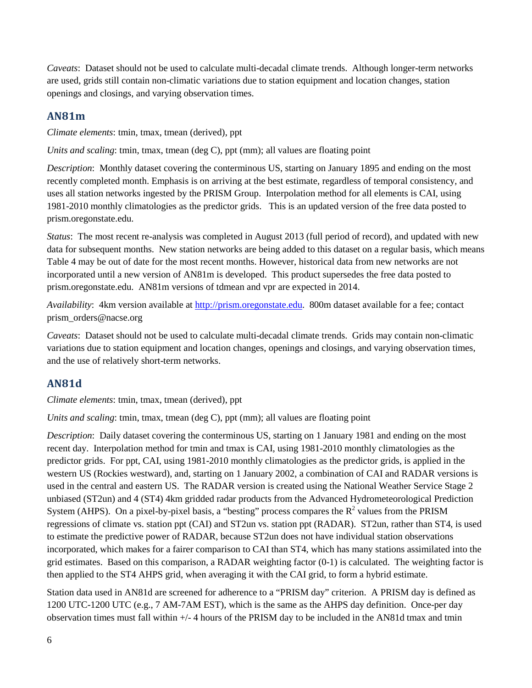*Caveats*: Dataset should not be used to calculate multi-decadal climate trends. Although longer-term networks are used, grids still contain non-climatic variations due to station equipment and location changes, station openings and closings, and varying observation times.

#### **AN81m**

*Climate elements*: tmin, tmax, tmean (derived), ppt

*Units and scaling*: tmin, tmax, tmean (deg C), ppt (mm); all values are floating point

*Description*: Monthly dataset covering the conterminous US, starting on January 1895 and ending on the most recently completed month. Emphasis is on arriving at the best estimate, regardless of temporal consistency, and uses all station networks ingested by the PRISM Group. Interpolation method for all elements is CAI, using 1981-2010 monthly climatologies as the predictor grids. This is an updated version of the free data posted to prism.oregonstate.edu.

*Status*: The most recent re-analysis was completed in August 2013 (full period of record), and updated with new data for subsequent months. New station networks are being added to this dataset on a regular basis, which means Table 4 may be out of date for the most recent months. However, historical data from new networks are not incorporated until a new version of AN81m is developed. This product supersedes the free data posted to prism.oregonstate.edu. AN81m versions of tdmean and vpr are expected in 2014.

*Availability*: 4km version available at [http://prism.oregonstate.edu.](http://prism.oregonstate.edu/) 800m dataset available for a fee; contact prism\_orders@nacse.org

*Caveats*: Dataset should not be used to calculate multi-decadal climate trends. Grids may contain non-climatic variations due to station equipment and location changes, openings and closings, and varying observation times, and the use of relatively short-term networks.

### **AN81d**

*Climate elements*: tmin, tmax, tmean (derived), ppt

*Units and scaling*: tmin, tmax, tmean (deg C), ppt (mm); all values are floating point

*Description*: Daily dataset covering the conterminous US, starting on 1 January 1981 and ending on the most recent day. Interpolation method for tmin and tmax is CAI, using 1981-2010 monthly climatologies as the predictor grids. For ppt, CAI, using 1981-2010 monthly climatologies as the predictor grids, is applied in the western US (Rockies westward), and, starting on 1 January 2002, a combination of CAI and RADAR versions is used in the central and eastern US. The RADAR version is created using the National Weather Service Stage 2 unbiased (ST2un) and 4 (ST4) 4km gridded radar products from the Advanced Hydrometeorological Prediction System (AHPS). On a pixel-by-pixel basis, a "besting" process compares the  $R<sup>2</sup>$  values from the PRISM regressions of climate vs. station ppt (CAI) and ST2un vs. station ppt (RADAR). ST2un, rather than ST4, is used to estimate the predictive power of RADAR, because ST2un does not have individual station observations incorporated, which makes for a fairer comparison to CAI than ST4, which has many stations assimilated into the grid estimates. Based on this comparison, a RADAR weighting factor (0-1) is calculated. The weighting factor is then applied to the ST4 AHPS grid, when averaging it with the CAI grid, to form a hybrid estimate.

Station data used in AN81d are screened for adherence to a "PRISM day" criterion. A PRISM day is defined as 1200 UTC-1200 UTC (e.g., 7 AM-7AM EST), which is the same as the AHPS day definition. Once-per day observation times must fall within +/- 4 hours of the PRISM day to be included in the AN81d tmax and tmin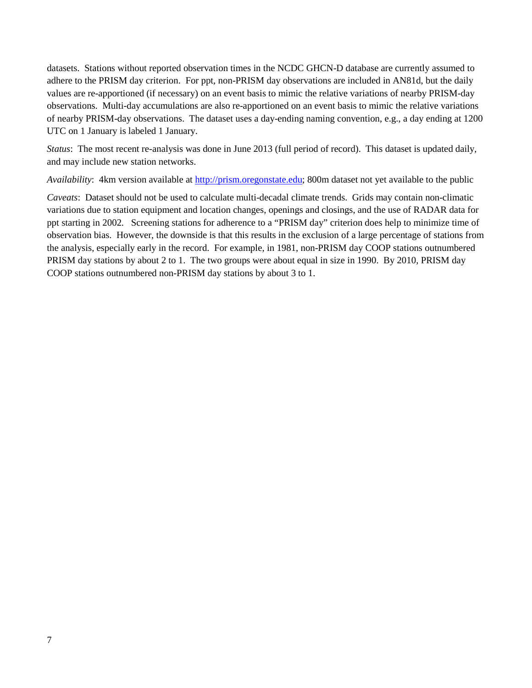datasets. Stations without reported observation times in the NCDC GHCN-D database are currently assumed to adhere to the PRISM day criterion. For ppt, non-PRISM day observations are included in AN81d, but the daily values are re-apportioned (if necessary) on an event basis to mimic the relative variations of nearby PRISM-day observations. Multi-day accumulations are also re-apportioned on an event basis to mimic the relative variations of nearby PRISM-day observations. The dataset uses a day-ending naming convention, e.g., a day ending at 1200 UTC on 1 January is labeled 1 January.

*Status*: The most recent re-analysis was done in June 2013 (full period of record). This dataset is updated daily, and may include new station networks.

*Availability*: 4km version available at [http://prism.oregonstate.edu;](http://prism.oregonstate.edu/) 800m dataset not yet available to the public

*Caveats*: Dataset should not be used to calculate multi-decadal climate trends. Grids may contain non-climatic variations due to station equipment and location changes, openings and closings, and the use of RADAR data for ppt starting in 2002. Screening stations for adherence to a "PRISM day" criterion does help to minimize time of observation bias. However, the downside is that this results in the exclusion of a large percentage of stations from the analysis, especially early in the record. For example, in 1981, non-PRISM day COOP stations outnumbered PRISM day stations by about 2 to 1. The two groups were about equal in size in 1990. By 2010, PRISM day COOP stations outnumbered non-PRISM day stations by about 3 to 1.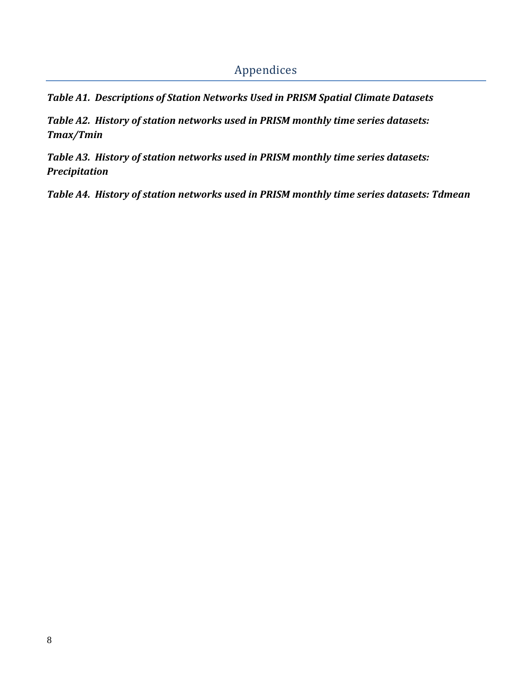## Appendices

*Table A1. Descriptions of Station Networks Used in PRISM Spatial Climate Datasets*

*Table A2. History of station networks used in PRISM monthly time series datasets: Tmax/Tmin*

*Table A3. History of station networks used in PRISM monthly time series datasets: Precipitation*

*Table A4. History of station networks used in PRISM monthly time series datasets: Tdmean*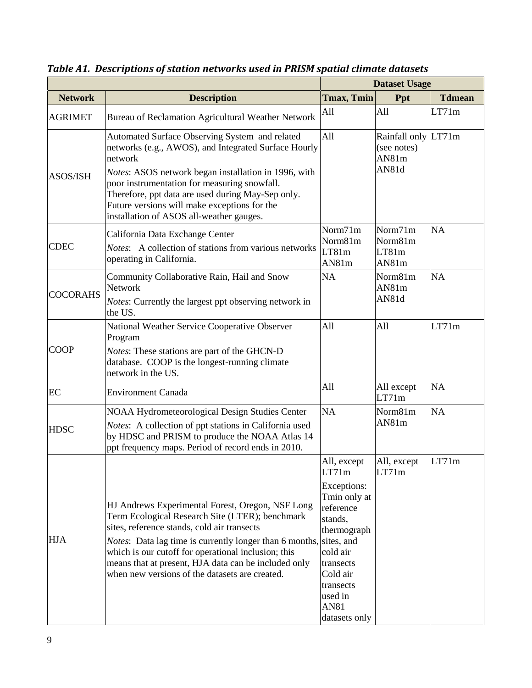|                 |                                                                                                                                                                                                                                                                                                                                                                                                   | <b>Dataset Usage</b>                                                                                                                                                                    |                                                      |               |
|-----------------|---------------------------------------------------------------------------------------------------------------------------------------------------------------------------------------------------------------------------------------------------------------------------------------------------------------------------------------------------------------------------------------------------|-----------------------------------------------------------------------------------------------------------------------------------------------------------------------------------------|------------------------------------------------------|---------------|
| <b>Network</b>  | <b>Description</b>                                                                                                                                                                                                                                                                                                                                                                                | <b>Tmax, Tmin</b>                                                                                                                                                                       | Ppt                                                  | <b>Tdmean</b> |
| <b>AGRIMET</b>  | Bureau of Reclamation Agricultural Weather Network                                                                                                                                                                                                                                                                                                                                                | All                                                                                                                                                                                     | All                                                  | LT71m         |
| <b>ASOS/ISH</b> | Automated Surface Observing System and related<br>networks (e.g., AWOS), and Integrated Surface Hourly<br>network<br><i>Notes:</i> ASOS network began installation in 1996, with<br>poor instrumentation for measuring snowfall.<br>Therefore, ppt data are used during May-Sep only.<br>Future versions will make exceptions for the<br>installation of ASOS all-weather gauges.                 | All                                                                                                                                                                                     | Rainfall only LT71m<br>(see notes)<br>AN81m<br>AN81d |               |
| <b>CDEC</b>     | California Data Exchange Center<br>Notes: A collection of stations from various networks<br>operating in California.                                                                                                                                                                                                                                                                              | Norm71m<br>Norm81m<br>LT81m<br>AN81m                                                                                                                                                    | Norm71m<br>Norm81m<br>LT81m<br>AN81m                 | <b>NA</b>     |
| <b>COCORAHS</b> | Community Collaborative Rain, Hail and Snow<br>Network<br><i>Notes:</i> Currently the largest ppt observing network in<br>the US.                                                                                                                                                                                                                                                                 | <b>NA</b>                                                                                                                                                                               | Norm81m<br>AN81m<br>AN81d                            | <b>NA</b>     |
| <b>COOP</b>     | National Weather Service Cooperative Observer<br>Program<br>Notes: These stations are part of the GHCN-D<br>database. COOP is the longest-running climate<br>network in the US.                                                                                                                                                                                                                   | All                                                                                                                                                                                     | All                                                  | LT71m         |
| EC              | <b>Environment Canada</b>                                                                                                                                                                                                                                                                                                                                                                         | All                                                                                                                                                                                     | All except<br>LT71m                                  | <b>NA</b>     |
| <b>HDSC</b>     | <b>NOAA Hydrometeorological Design Studies Center</b><br>Notes: A collection of ppt stations in California used<br>by HDSC and PRISM to produce the NOAA Atlas 14<br>ppt frequency maps. Period of record ends in 2010.                                                                                                                                                                           | <b>NA</b>                                                                                                                                                                               | Norm81m<br>AN81m                                     | <b>NA</b>     |
| <b>HJA</b>      | HJ Andrews Experimental Forest, Oregon, NSF Long<br>Term Ecological Research Site (LTER); benchmark<br>sites, reference stands, cold air transects<br><i>Notes</i> : Data lag time is currently longer than 6 months, sites, and<br>which is our cutoff for operational inclusion; this<br>means that at present, HJA data can be included only<br>when new versions of the datasets are created. | All, except<br>LT71m<br>Exceptions:<br>Tmin only at<br>reference<br>stands,<br>thermograph<br>cold air<br>transects<br>Cold air<br>transects<br>used in<br><b>AN81</b><br>datasets only | All, except<br>LT71m                                 | LT71m         |

*Table A1. Descriptions of station networks used in PRISM spatial climate datasets*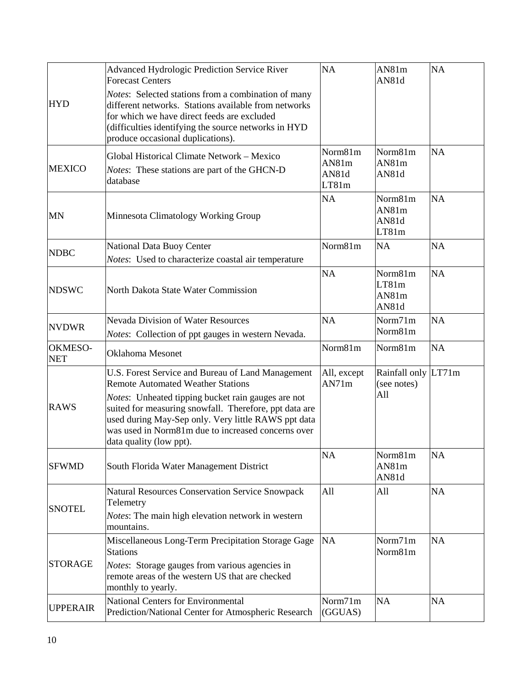|                       | Advanced Hydrologic Prediction Service River<br><b>Forecast Centers</b><br>Notes: Selected stations from a combination of many                                                                                                                       | <b>NA</b>                          | AN81m<br>AN81d                     | <b>NA</b> |
|-----------------------|------------------------------------------------------------------------------------------------------------------------------------------------------------------------------------------------------------------------------------------------------|------------------------------------|------------------------------------|-----------|
| <b>HYD</b>            | different networks. Stations available from networks<br>for which we have direct feeds are excluded<br>(difficulties identifying the source networks in HYD<br>produce occasional duplications).                                                     |                                    |                                    |           |
| <b>MEXICO</b>         | Global Historical Climate Network - Mexico<br>Notes: These stations are part of the GHCN-D<br>database                                                                                                                                               | Norm81m<br>AN81m<br>AN81d<br>LT81m | Norm81m<br>AN81m<br>AN81d          | <b>NA</b> |
| <b>MN</b>             | Minnesota Climatology Working Group                                                                                                                                                                                                                  | NA                                 | Norm81m<br>AN81m<br>AN81d<br>LT81m | <b>NA</b> |
| <b>NDBC</b>           | National Data Buoy Center                                                                                                                                                                                                                            | Norm81m                            | <b>NA</b>                          | NA        |
|                       | Notes: Used to characterize coastal air temperature                                                                                                                                                                                                  |                                    |                                    |           |
| <b>NDSWC</b>          | North Dakota State Water Commission                                                                                                                                                                                                                  | <b>NA</b>                          | Norm81m<br>LT81m<br>AN81m<br>AN81d | <b>NA</b> |
| <b>NVDWR</b>          | <b>Nevada Division of Water Resources</b><br>Notes: Collection of ppt gauges in western Nevada.                                                                                                                                                      | <b>NA</b>                          | Norm71m<br>Norm81m                 | <b>NA</b> |
| OKMESO-<br><b>NET</b> | <b>Oklahoma</b> Mesonet                                                                                                                                                                                                                              | Norm81m                            | Norm81m                            | <b>NA</b> |
|                       | U.S. Forest Service and Bureau of Land Management<br><b>Remote Automated Weather Stations</b>                                                                                                                                                        | All, except<br>AN71m               | Rainfall only LT71m<br>(see notes) |           |
| <b>RAWS</b>           | Notes: Unheated tipping bucket rain gauges are not<br>suited for measuring snowfall. Therefore, ppt data are<br>used during May-Sep only. Very little RAWS ppt data<br>was used in Norm81m due to increased concerns over<br>data quality (low ppt). |                                    | All                                |           |
| <b>SFWMD</b>          | South Florida Water Management District                                                                                                                                                                                                              | <b>NA</b>                          | Norm81m<br>AN81m<br>AN81d          | <b>NA</b> |
|                       | <b>Natural Resources Conservation Service Snowpack</b>                                                                                                                                                                                               | All                                |                                    | <b>NA</b> |
| <b>SNOTEL</b>         | Telemetry<br>Notes: The main high elevation network in western<br>mountains.                                                                                                                                                                         |                                    | All                                |           |
| <b>STORAGE</b>        | Miscellaneous Long-Term Precipitation Storage Gage<br><b>Stations</b><br>Notes: Storage gauges from various agencies in<br>remote areas of the western US that are checked<br>monthly to yearly.                                                     | <b>NA</b>                          | Norm71m<br>Norm81m                 | <b>NA</b> |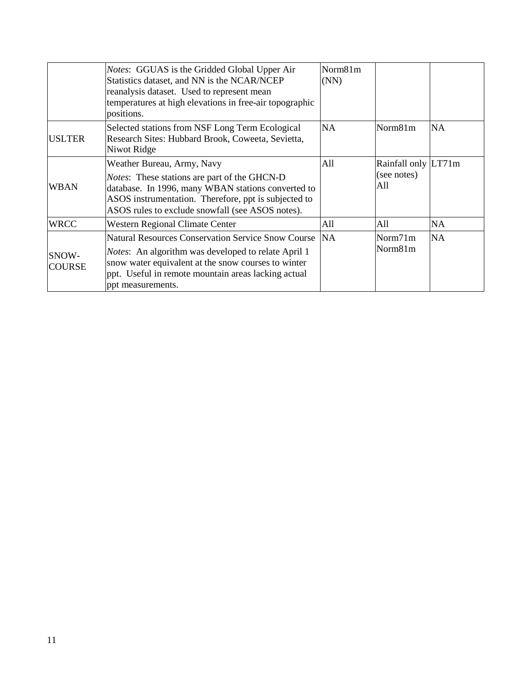|                        | <i>Notes:</i> GGUAS is the Gridded Global Upper Air<br>Statistics dataset, and NN is the NCAR/NCEP<br>reanalysis dataset. Used to represent mean<br>temperatures at high elevations in free-air topographic<br>positions.                                   | Norm81m<br>(NN) |                                           |           |
|------------------------|-------------------------------------------------------------------------------------------------------------------------------------------------------------------------------------------------------------------------------------------------------------|-----------------|-------------------------------------------|-----------|
| <b>USLTER</b>          | Selected stations from NSF Long Term Ecological<br>Research Sites: Hubbard Brook, Coweeta, Sevietta,<br>Niwot Ridge                                                                                                                                         | <b>NA</b>       | Norm81m                                   | <b>NA</b> |
| <b>WBAN</b>            | Weather Bureau, Army, Navy<br>Notes: These stations are part of the GHCN-D<br>database. In 1996, many WBAN stations converted to<br>ASOS instrumentation. Therefore, ppt is subjected to<br>ASOS rules to exclude snowfall (see ASOS notes).                | A11             | Rainfall only LT71m<br>(see notes)<br>All |           |
| <b>WRCC</b>            | Western Regional Climate Center                                                                                                                                                                                                                             | All             | A11                                       | NA.       |
| SNOW-<br><b>COURSE</b> | <b>Natural Resources Conservation Service Snow Course</b><br><i>Notes</i> : An algorithm was developed to relate April 1<br>snow water equivalent at the snow courses to winter<br>ppt. Useful in remote mountain areas lacking actual<br>ppt measurements. | <b>NA</b>       | Norm71m<br>Norm81m                        | <b>NA</b> |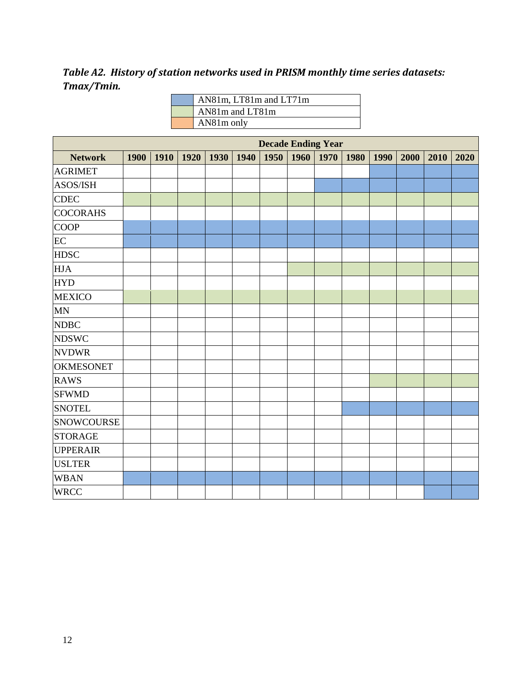*Table A2. History of station networks used in PRISM monthly time series datasets: Tmax/Tmin.*

| AN81m, LT81m and LT71m |
|------------------------|
| AN81m and LT81m        |
| AN81m only             |

|                   | <b>Decade Ending Year</b> |  |             |      |      |      |      |      |      |      |      |      |      |
|-------------------|---------------------------|--|-------------|------|------|------|------|------|------|------|------|------|------|
| <b>Network</b>    | 1900                      |  | 1910   1920 | 1930 | 1940 | 1950 | 1960 | 1970 | 1980 | 1990 | 2000 | 2010 | 2020 |
| <b>AGRIMET</b>    |                           |  |             |      |      |      |      |      |      |      |      |      |      |
| ASOS/ISH          |                           |  |             |      |      |      |      |      |      |      |      |      |      |
| <b>CDEC</b>       |                           |  |             |      |      |      |      |      |      |      |      |      |      |
| <b>COCORAHS</b>   |                           |  |             |      |      |      |      |      |      |      |      |      |      |
| <b>COOP</b>       |                           |  |             |      |      |      |      |      |      |      |      |      |      |
| EC                |                           |  |             |      |      |      |      |      |      |      |      |      |      |
| <b>HDSC</b>       |                           |  |             |      |      |      |      |      |      |      |      |      |      |
| <b>HJA</b>        |                           |  |             |      |      |      |      |      |      |      |      |      |      |
| <b>HYD</b>        |                           |  |             |      |      |      |      |      |      |      |      |      |      |
| <b>MEXICO</b>     |                           |  |             |      |      |      |      |      |      |      |      |      |      |
| $\mbox{MN}$       |                           |  |             |      |      |      |      |      |      |      |      |      |      |
| <b>NDBC</b>       |                           |  |             |      |      |      |      |      |      |      |      |      |      |
| <b>NDSWC</b>      |                           |  |             |      |      |      |      |      |      |      |      |      |      |
| <b>NVDWR</b>      |                           |  |             |      |      |      |      |      |      |      |      |      |      |
| <b>OKMESONET</b>  |                           |  |             |      |      |      |      |      |      |      |      |      |      |
| <b>RAWS</b>       |                           |  |             |      |      |      |      |      |      |      |      |      |      |
| <b>SFWMD</b>      |                           |  |             |      |      |      |      |      |      |      |      |      |      |
| <b>SNOTEL</b>     |                           |  |             |      |      |      |      |      |      |      |      |      |      |
| <b>SNOWCOURSE</b> |                           |  |             |      |      |      |      |      |      |      |      |      |      |
| <b>STORAGE</b>    |                           |  |             |      |      |      |      |      |      |      |      |      |      |
| <b>UPPERAIR</b>   |                           |  |             |      |      |      |      |      |      |      |      |      |      |
| <b>USLTER</b>     |                           |  |             |      |      |      |      |      |      |      |      |      |      |
| <b>WBAN</b>       |                           |  |             |      |      |      |      |      |      |      |      |      |      |
| <b>WRCC</b>       |                           |  |             |      |      |      |      |      |      |      |      |      |      |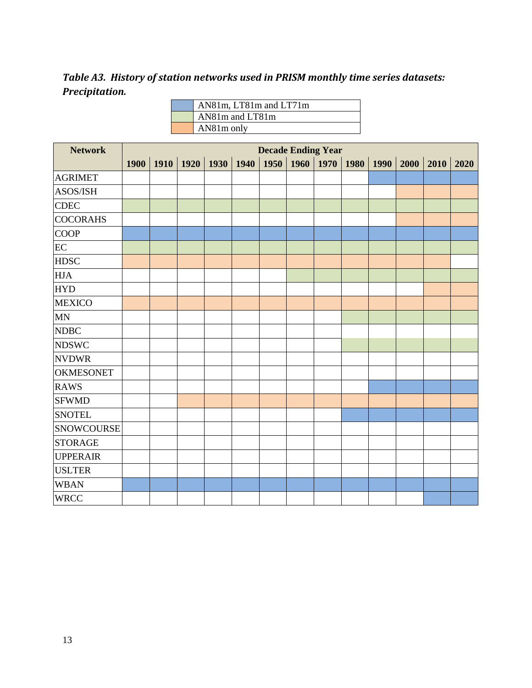*Table A3. History of station networks used in PRISM monthly time series datasets: Precipitation.*

| AN81m, LT81m and LT71m |
|------------------------|
| AN81m and LT81m        |
| AN81m only             |

| <b>Network</b>    | <b>Decade Ending Year</b> |      |                      |      |      |      |      |      |      |      |      |      |      |
|-------------------|---------------------------|------|----------------------|------|------|------|------|------|------|------|------|------|------|
|                   | 1900                      | 1910 | $\vert$ 1920 $\vert$ | 1930 | 1940 | 1950 | 1960 | 1970 | 1980 | 1990 | 2000 | 2010 | 2020 |
| <b>AGRIMET</b>    |                           |      |                      |      |      |      |      |      |      |      |      |      |      |
| ASOS/ISH          |                           |      |                      |      |      |      |      |      |      |      |      |      |      |
| <b>CDEC</b>       |                           |      |                      |      |      |      |      |      |      |      |      |      |      |
| <b>COCORAHS</b>   |                           |      |                      |      |      |      |      |      |      |      |      |      |      |
| <b>COOP</b>       |                           |      |                      |      |      |      |      |      |      |      |      |      |      |
| EC                |                           |      |                      |      |      |      |      |      |      |      |      |      |      |
| <b>HDSC</b>       |                           |      |                      |      |      |      |      |      |      |      |      |      |      |
| <b>HJA</b>        |                           |      |                      |      |      |      |      |      |      |      |      |      |      |
| <b>HYD</b>        |                           |      |                      |      |      |      |      |      |      |      |      |      |      |
| <b>MEXICO</b>     |                           |      |                      |      |      |      |      |      |      |      |      |      |      |
| $\mbox{MN}$       |                           |      |                      |      |      |      |      |      |      |      |      |      |      |
| <b>NDBC</b>       |                           |      |                      |      |      |      |      |      |      |      |      |      |      |
| <b>NDSWC</b>      |                           |      |                      |      |      |      |      |      |      |      |      |      |      |
| <b>NVDWR</b>      |                           |      |                      |      |      |      |      |      |      |      |      |      |      |
| <b>OKMESONET</b>  |                           |      |                      |      |      |      |      |      |      |      |      |      |      |
| <b>RAWS</b>       |                           |      |                      |      |      |      |      |      |      |      |      |      |      |
| <b>SFWMD</b>      |                           |      |                      |      |      |      |      |      |      |      |      |      |      |
| <b>SNOTEL</b>     |                           |      |                      |      |      |      |      |      |      |      |      |      |      |
| <b>SNOWCOURSE</b> |                           |      |                      |      |      |      |      |      |      |      |      |      |      |
| <b>STORAGE</b>    |                           |      |                      |      |      |      |      |      |      |      |      |      |      |
| <b>UPPERAIR</b>   |                           |      |                      |      |      |      |      |      |      |      |      |      |      |
| <b>USLTER</b>     |                           |      |                      |      |      |      |      |      |      |      |      |      |      |
| <b>WBAN</b>       |                           |      |                      |      |      |      |      |      |      |      |      |      |      |
| <b>WRCC</b>       |                           |      |                      |      |      |      |      |      |      |      |      |      |      |